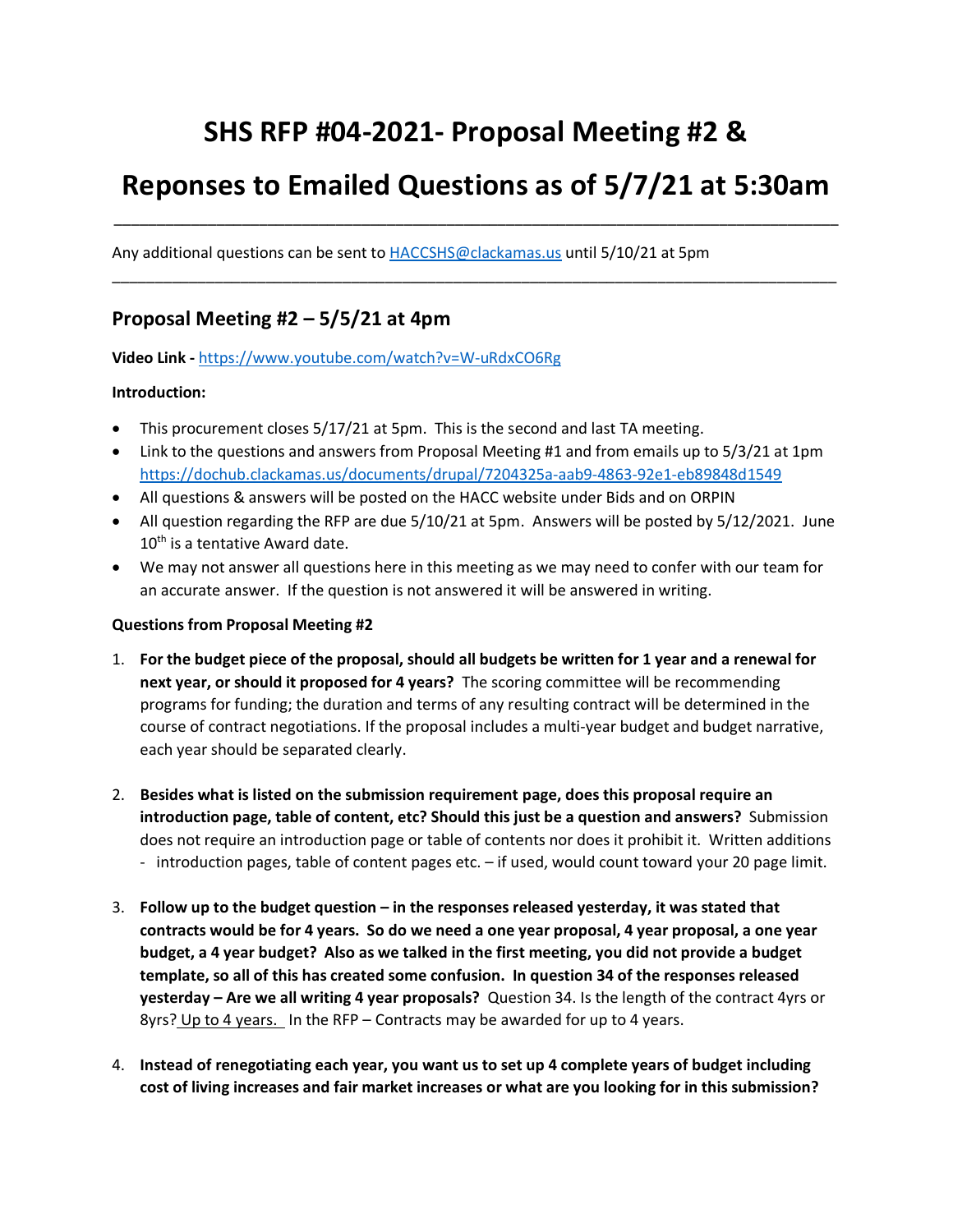# **SHS RFP #04-2021- Proposal Meeting #2 &**

# **Reponses to Emailed Questions as of 5/7/21 at 5:30am**

\_\_\_\_\_\_\_\_\_\_\_\_\_\_\_\_\_\_\_\_\_\_\_\_\_\_\_\_\_\_\_\_\_\_\_\_\_\_\_\_\_\_\_\_\_\_\_\_\_\_\_\_\_\_\_\_\_\_\_\_\_\_\_\_\_\_\_\_\_\_\_\_\_\_\_\_\_\_\_\_\_\_\_\_\_

\_\_\_\_\_\_\_\_\_\_\_\_\_\_\_\_\_\_\_\_\_\_\_\_\_\_\_\_\_\_\_\_\_\_\_\_\_\_\_\_\_\_\_\_\_\_\_\_\_\_\_\_\_\_\_\_\_\_\_\_\_\_\_\_\_\_\_\_\_\_\_\_\_\_\_\_\_\_\_\_\_\_\_\_\_

Any additional questions can be sent to [HACCSHS@clackamas.us](mailto:HACCSHS@clackamas.us) until 5/10/21 at 5pm

### **Proposal Meeting #2 – 5/5/21 at 4pm**

**Video Link -** <https://www.youtube.com/watch?v=W-uRdxCO6Rg>

#### **Introduction:**

- This procurement closes 5/17/21 at 5pm. This is the second and last TA meeting.
- Link to the questions and answers from Proposal Meeting #1 and from emails up to 5/3/21 at 1pm <https://dochub.clackamas.us/documents/drupal/7204325a-aab9-4863-92e1-eb89848d1549>
- All questions & answers will be posted on the HACC website under Bids and on ORPIN
- All question regarding the RFP are due 5/10/21 at 5pm. Answers will be posted by 5/12/2021. June 10<sup>th</sup> is a tentative Award date.
- We may not answer all questions here in this meeting as we may need to confer with our team for an accurate answer. If the question is not answered it will be answered in writing.

#### **Questions from Proposal Meeting #2**

- 1. **For the budget piece of the proposal, should all budgets be written for 1 year and a renewal for next year, or should it proposed for 4 years?** The scoring committee will be recommending programs for funding; the duration and terms of any resulting contract will be determined in the course of contract negotiations. If the proposal includes a multi-year budget and budget narrative, each year should be separated clearly.
- 2. **Besides what is listed on the submission requirement page, does this proposal require an introduction page, table of content, etc? Should this just be a question and answers?** Submission does not require an introduction page or table of contents nor does it prohibit it. Written additions - introduction pages, table of content pages etc. – if used, would count toward your 20 page limit.
- 3. **Follow up to the budget question – in the responses released yesterday, it was stated that contracts would be for 4 years. So do we need a one year proposal, 4 year proposal, a one year budget, a 4 year budget? Also as we talked in the first meeting, you did not provide a budget template, so all of this has created some confusion. In question 34 of the responses released yesterday – Are we all writing 4 year proposals?** Question 34. Is the length of the contract 4yrs or 8yrs? Up to 4 years. In the RFP – Contracts may be awarded for up to 4 years.
- 4. **Instead of renegotiating each year, you want us to set up 4 complete years of budget including cost of living increases and fair market increases or what are you looking for in this submission?**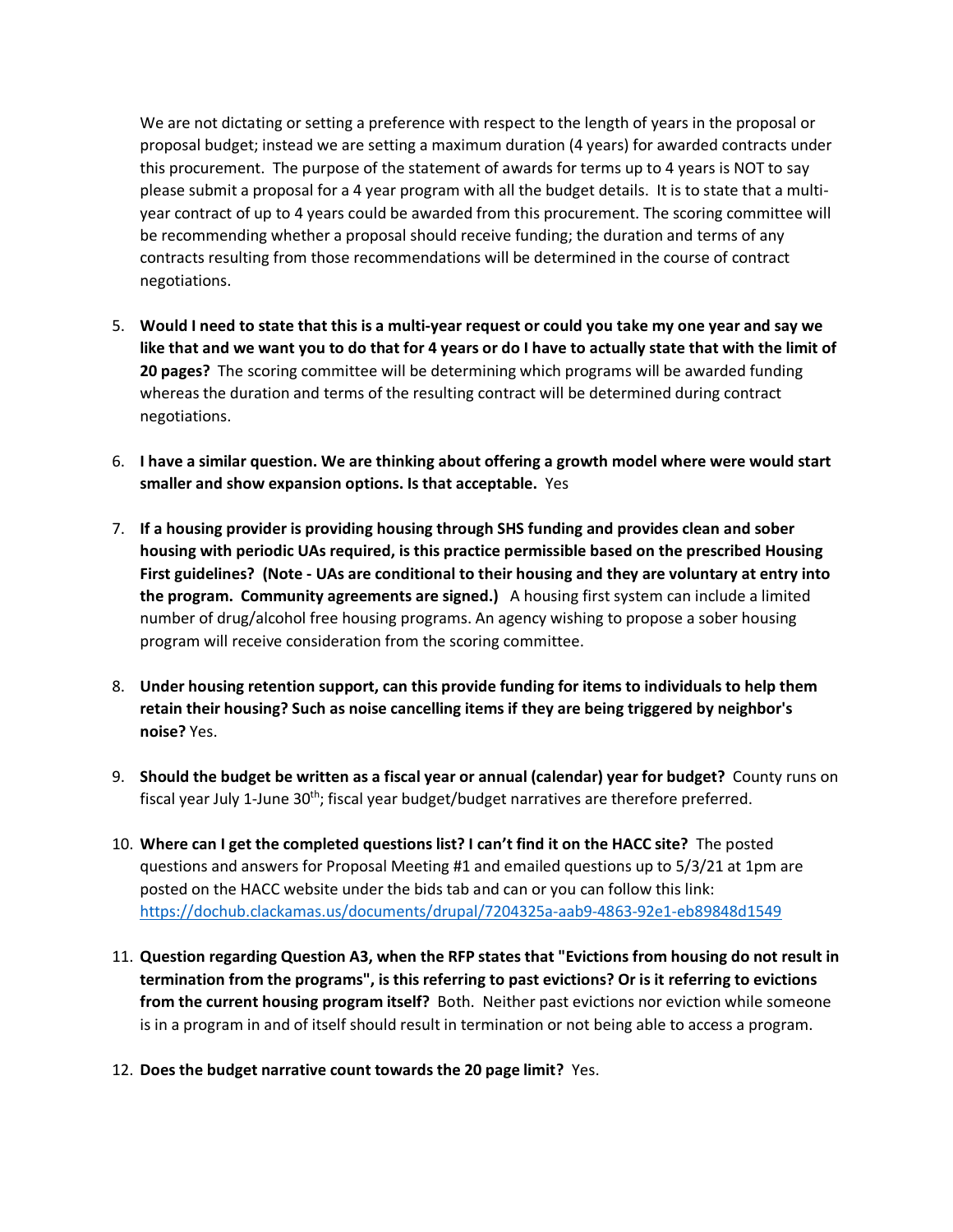We are not dictating or setting a preference with respect to the length of years in the proposal or proposal budget; instead we are setting a maximum duration (4 years) for awarded contracts under this procurement. The purpose of the statement of awards for terms up to 4 years is NOT to say please submit a proposal for a 4 year program with all the budget details. It is to state that a multiyear contract of up to 4 years could be awarded from this procurement. The scoring committee will be recommending whether a proposal should receive funding; the duration and terms of any contracts resulting from those recommendations will be determined in the course of contract negotiations.

- 5. **Would I need to state that this is a multi-year request or could you take my one year and say we like that and we want you to do that for 4 years or do I have to actually state that with the limit of 20 pages?** The scoring committee will be determining which programs will be awarded funding whereas the duration and terms of the resulting contract will be determined during contract negotiations.
- 6. **I have a similar question. We are thinking about offering a growth model where were would start smaller and show expansion options. Is that acceptable.** Yes
- 7. **If a housing provider is providing housing through SHS funding and provides clean and sober housing with periodic UAs required, is this practice permissible based on the prescribed Housing First guidelines? (Note - UAs are conditional to their housing and they are voluntary at entry into the program. Community agreements are signed.)** A housing first system can include a limited number of drug/alcohol free housing programs. An agency wishing to propose a sober housing program will receive consideration from the scoring committee.
- 8. **Under housing retention support, can this provide funding for items to individuals to help them retain their housing? Such as noise cancelling items if they are being triggered by neighbor's noise?** Yes.
- 9. **Should the budget be written as a fiscal year or annual (calendar) year for budget?** County runs on fiscal year July 1-June 30<sup>th</sup>; fiscal year budget/budget narratives are therefore preferred.
- 10. **Where can I get the completed questions list? I can't find it on the HACC site?** The posted questions and answers for Proposal Meeting #1 and emailed questions up to 5/3/21 at 1pm are posted on the HACC website under the bids tab and can or you can follow this link: <https://dochub.clackamas.us/documents/drupal/7204325a-aab9-4863-92e1-eb89848d1549>
- 11. **Question regarding Question A3, when the RFP states that "Evictions from housing do not result in termination from the programs", is this referring to past evictions? Or is it referring to evictions from the current housing program itself?** Both. Neither past evictions nor eviction while someone is in a program in and of itself should result in termination or not being able to access a program.
- 12. **Does the budget narrative count towards the 20 page limit?** Yes.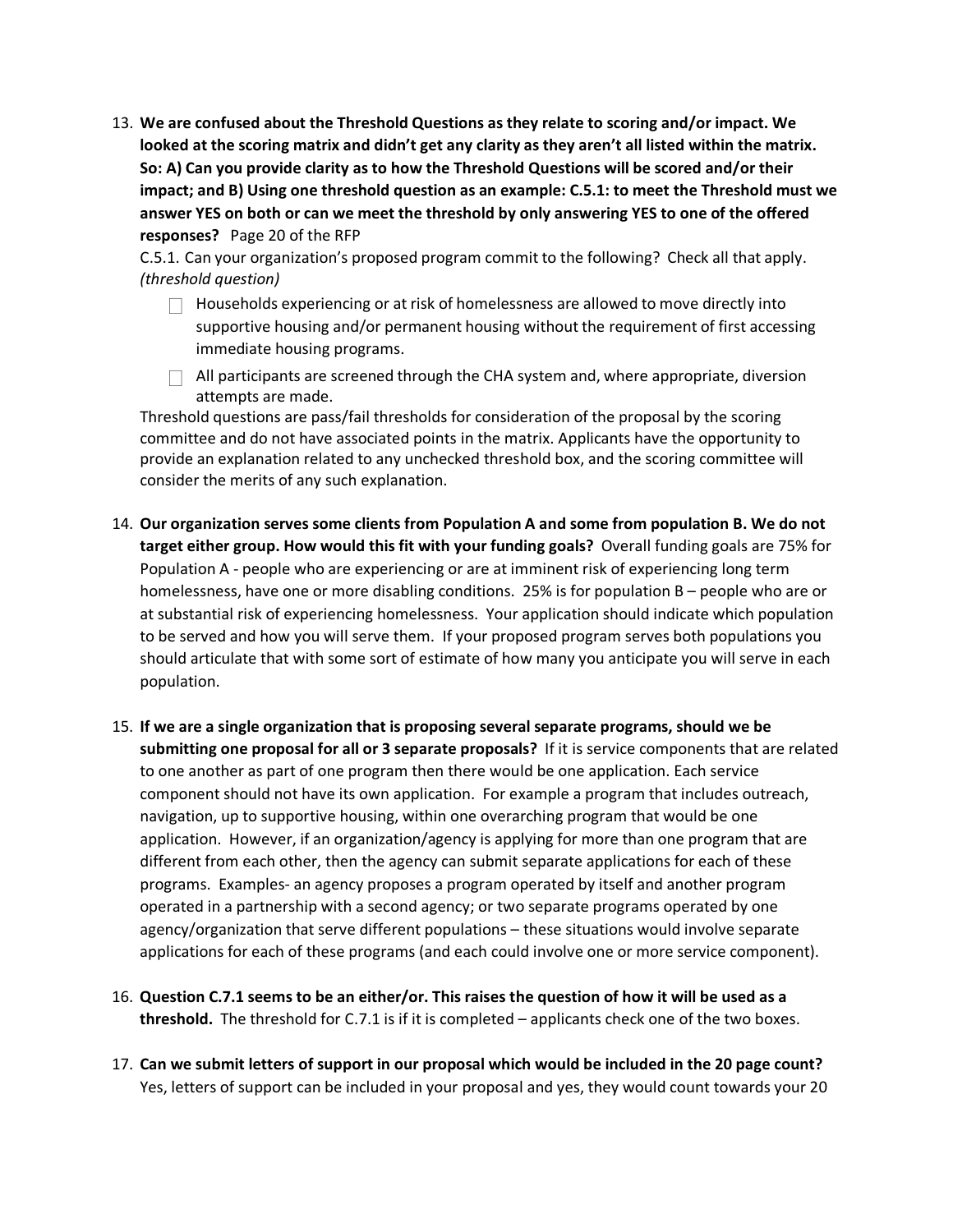13. **We are confused about the Threshold Questions as they relate to scoring and/or impact. We looked at the scoring matrix and didn't get any clarity as they aren't all listed within the matrix. So: A) Can you provide clarity as to how the Threshold Questions will be scored and/or their impact; and B) Using one threshold question as an example: C.5.1: to meet the Threshold must we answer YES on both or can we meet the threshold by only answering YES to one of the offered responses?** Page 20 of the RFP

C.5.1. Can your organization's proposed program commit to the following? Check all that apply. *(threshold question)*

- $\Box$  Households experiencing or at risk of homelessness are allowed to move directly into supportive housing and/or permanent housing without the requirement of first accessing immediate housing programs.
- $\Box$  All participants are screened through the CHA system and, where appropriate, diversion attempts are made.

Threshold questions are pass/fail thresholds for consideration of the proposal by the scoring committee and do not have associated points in the matrix. Applicants have the opportunity to provide an explanation related to any unchecked threshold box, and the scoring committee will consider the merits of any such explanation.

- 14. **Our organization serves some clients from Population A and some from population B. We do not target either group. How would this fit with your funding goals?** Overall funding goals are 75% for Population A - people who are experiencing or are at imminent risk of experiencing long term homelessness, have one or more disabling conditions. 25% is for population B – people who are or at substantial risk of experiencing homelessness. Your application should indicate which population to be served and how you will serve them. If your proposed program serves both populations you should articulate that with some sort of estimate of how many you anticipate you will serve in each population.
- 15. **If we are a single organization that is proposing several separate programs, should we be submitting one proposal for all or 3 separate proposals?** If it is service components that are related to one another as part of one program then there would be one application. Each service component should not have its own application. For example a program that includes outreach, navigation, up to supportive housing, within one overarching program that would be one application. However, if an organization/agency is applying for more than one program that are different from each other, then the agency can submit separate applications for each of these programs. Examples- an agency proposes a program operated by itself and another program operated in a partnership with a second agency; or two separate programs operated by one agency/organization that serve different populations – these situations would involve separate applications for each of these programs (and each could involve one or more service component).
- 16. **Question C.7.1 seems to be an either/or. This raises the question of how it will be used as a threshold.** The threshold for C.7.1 is if it is completed – applicants check one of the two boxes.
- 17. **Can we submit letters of support in our proposal which would be included in the 20 page count?** Yes, letters of support can be included in your proposal and yes, they would count towards your 20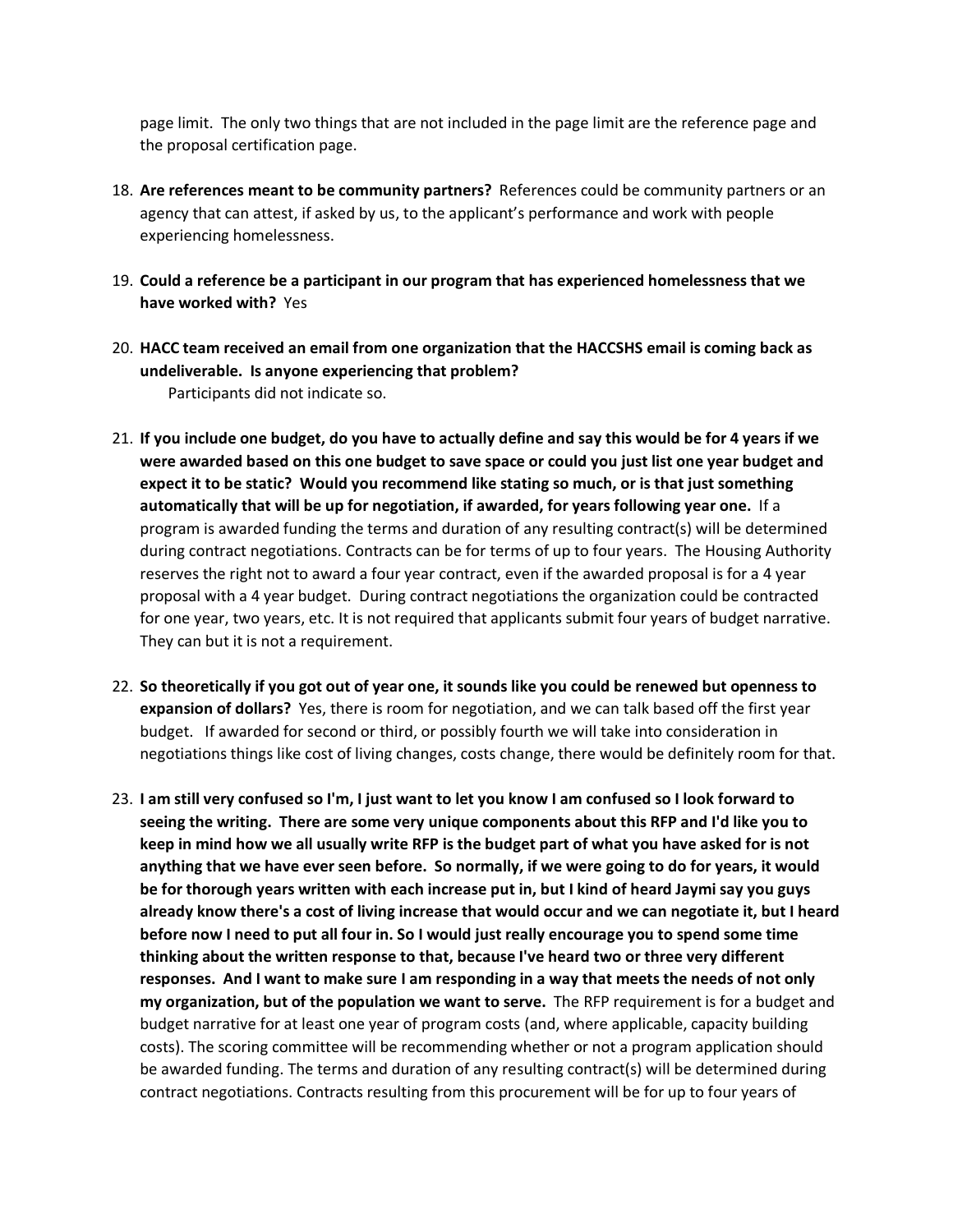page limit. The only two things that are not included in the page limit are the reference page and the proposal certification page.

- 18. **Are references meant to be community partners?** References could be community partners or an agency that can attest, if asked by us, to the applicant's performance and work with people experiencing homelessness.
- 19. **Could a reference be a participant in our program that has experienced homelessness that we have worked with?** Yes
- 20. **HACC team received an email from one organization that the HACCSHS email is coming back as undeliverable. Is anyone experiencing that problem?**  Participants did not indicate so.
- 21. **If you include one budget, do you have to actually define and say this would be for 4 years if we were awarded based on this one budget to save space or could you just list one year budget and expect it to be static? Would you recommend like stating so much, or is that just something automatically that will be up for negotiation, if awarded, for years following year one.** If a program is awarded funding the terms and duration of any resulting contract(s) will be determined during contract negotiations. Contracts can be for terms of up to four years. The Housing Authority reserves the right not to award a four year contract, even if the awarded proposal is for a 4 year proposal with a 4 year budget. During contract negotiations the organization could be contracted for one year, two years, etc. It is not required that applicants submit four years of budget narrative. They can but it is not a requirement.
- 22. **So theoretically if you got out of year one, it sounds like you could be renewed but openness to expansion of dollars?** Yes, there is room for negotiation, and we can talk based off the first year budget. If awarded for second or third, or possibly fourth we will take into consideration in negotiations things like cost of living changes, costs change, there would be definitely room for that.
- 23. **I am still very confused so I'm, I just want to let you know I am confused so I look forward to seeing the writing. There are some very unique components about this RFP and I'd like you to keep in mind how we all usually write RFP is the budget part of what you have asked for is not anything that we have ever seen before. So normally, if we were going to do for years, it would be for thorough years written with each increase put in, but I kind of heard Jaymi say you guys already know there's a cost of living increase that would occur and we can negotiate it, but I heard before now I need to put all four in. So I would just really encourage you to spend some time thinking about the written response to that, because I've heard two or three very different responses. And I want to make sure I am responding in a way that meets the needs of not only my organization, but of the population we want to serve.** The RFP requirement is for a budget and budget narrative for at least one year of program costs (and, where applicable, capacity building costs). The scoring committee will be recommending whether or not a program application should be awarded funding. The terms and duration of any resulting contract(s) will be determined during contract negotiations. Contracts resulting from this procurement will be for up to four years of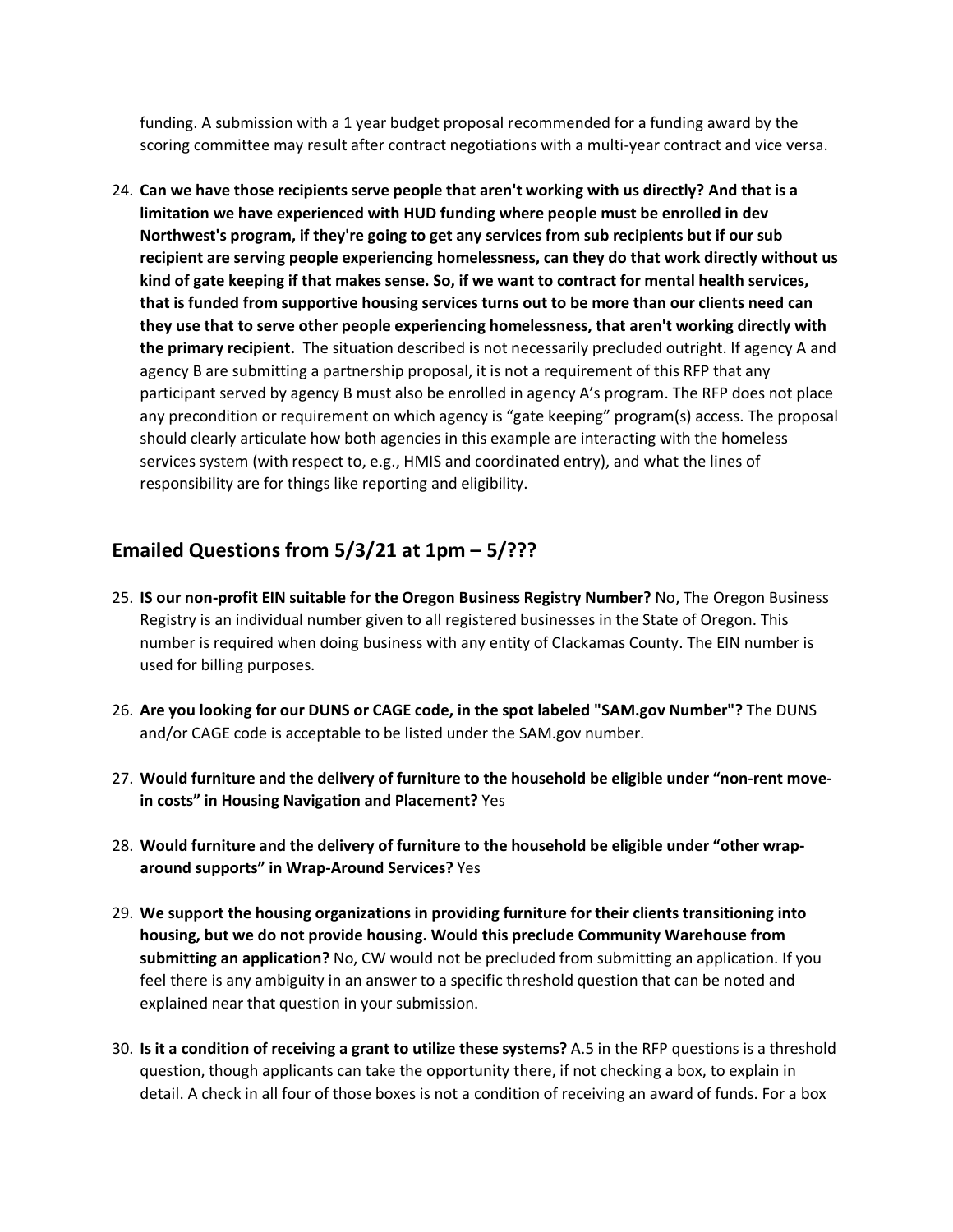funding. A submission with a 1 year budget proposal recommended for a funding award by the scoring committee may result after contract negotiations with a multi-year contract and vice versa.

24. **Can we have those recipients serve people that aren't working with us directly? And that is a limitation we have experienced with HUD funding where people must be enrolled in dev Northwest's program, if they're going to get any services from sub recipients but if our sub recipient are serving people experiencing homelessness, can they do that work directly without us kind of gate keeping if that makes sense. So, if we want to contract for mental health services, that is funded from supportive housing services turns out to be more than our clients need can they use that to serve other people experiencing homelessness, that aren't working directly with the primary recipient.** The situation described is not necessarily precluded outright. If agency A and agency B are submitting a partnership proposal, it is not a requirement of this RFP that any participant served by agency B must also be enrolled in agency A's program. The RFP does not place any precondition or requirement on which agency is "gate keeping" program(s) access. The proposal should clearly articulate how both agencies in this example are interacting with the homeless services system (with respect to, e.g., HMIS and coordinated entry), and what the lines of responsibility are for things like reporting and eligibility.

### **Emailed Questions from 5/3/21 at 1pm – 5/???**

- 25. **IS our non-profit EIN suitable for the Oregon Business Registry Number?** No, The Oregon Business Registry is an individual number given to all registered businesses in the State of Oregon. This number is required when doing business with any entity of Clackamas County. The EIN number is used for billing purposes.
- 26. **Are you looking for our DUNS or CAGE code, in the spot labeled "SAM.gov Number"?** The DUNS and/or CAGE code is acceptable to be listed under the SAM.gov number.
- 27. **Would furniture and the delivery of furniture to the household be eligible under "non-rent movein costs" in Housing Navigation and Placement?** Yes
- 28. **Would furniture and the delivery of furniture to the household be eligible under "other wraparound supports" in Wrap-Around Services?** Yes
- 29. **We support the housing organizations in providing furniture for their clients transitioning into housing, but we do not provide housing. Would this preclude Community Warehouse from submitting an application?** No, CW would not be precluded from submitting an application. If you feel there is any ambiguity in an answer to a specific threshold question that can be noted and explained near that question in your submission.
- 30. **Is it a condition of receiving a grant to utilize these systems?** A.5 in the RFP questions is a threshold question, though applicants can take the opportunity there, if not checking a box, to explain in detail. A check in all four of those boxes is not a condition of receiving an award of funds. For a box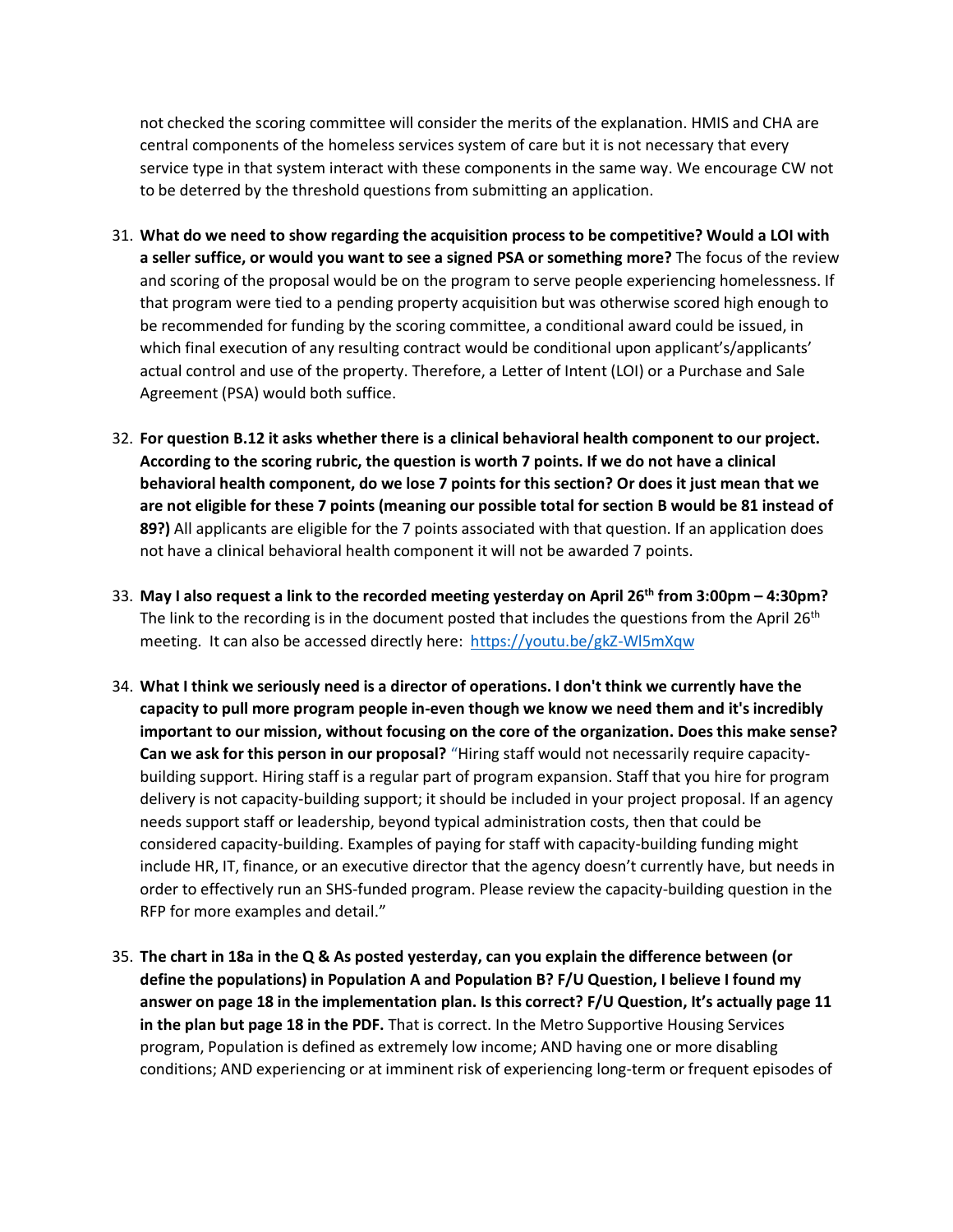not checked the scoring committee will consider the merits of the explanation. HMIS and CHA are central components of the homeless services system of care but it is not necessary that every service type in that system interact with these components in the same way. We encourage CW not to be deterred by the threshold questions from submitting an application.

- 31. **What do we need to show regarding the acquisition process to be competitive? Would a LOI with a seller suffice, or would you want to see a signed PSA or something more?** The focus of the review and scoring of the proposal would be on the program to serve people experiencing homelessness. If that program were tied to a pending property acquisition but was otherwise scored high enough to be recommended for funding by the scoring committee, a conditional award could be issued, in which final execution of any resulting contract would be conditional upon applicant's/applicants' actual control and use of the property. Therefore, a Letter of Intent (LOI) or a Purchase and Sale Agreement (PSA) would both suffice.
- 32. **For question B.12 it asks whether there is a clinical behavioral health component to our project. According to the scoring rubric, the question is worth 7 points. If we do not have a clinical behavioral health component, do we lose 7 points for this section? Or does it just mean that we are not eligible for these 7 points (meaning our possible total for section B would be 81 instead of 89?)** All applicants are eligible for the 7 points associated with that question. If an application does not have a clinical behavioral health component it will not be awarded 7 points.
- 33. **May I also request a link to the recorded meeting yesterday on April 26th from 3:00pm – 4:30pm?**  The link to the recording is in the document posted that includes the questions from the April 26<sup>th</sup> meeting. It can also be accessed directly here:<https://youtu.be/gkZ-Wl5mXqw>
- 34. **What I think we seriously need is a director of operations. I don't think we currently have the capacity to pull more program people in-even though we know we need them and it's incredibly important to our mission, without focusing on the core of the organization. Does this make sense? Can we ask for this person in our proposal?** "Hiring staff would not necessarily require capacitybuilding support. Hiring staff is a regular part of program expansion. Staff that you hire for program delivery is not capacity-building support; it should be included in your project proposal. If an agency needs support staff or leadership, beyond typical administration costs, then that could be considered capacity-building. Examples of paying for staff with capacity-building funding might include HR, IT, finance, or an executive director that the agency doesn't currently have, but needs in order to effectively run an SHS-funded program. Please review the capacity-building question in the RFP for more examples and detail."
- 35. **The chart in 18a in the Q & As posted yesterday, can you explain the difference between (or define the populations) in Population A and Population B? F/U Question, I believe I found my answer on page 18 in the implementation plan. Is this correct? F/U Question, It's actually page 11 in the plan but page 18 in the PDF.** That is correct. In the Metro Supportive Housing Services program, Population is defined as extremely low income; AND having one or more disabling conditions; AND experiencing or at imminent risk of experiencing long-term or frequent episodes of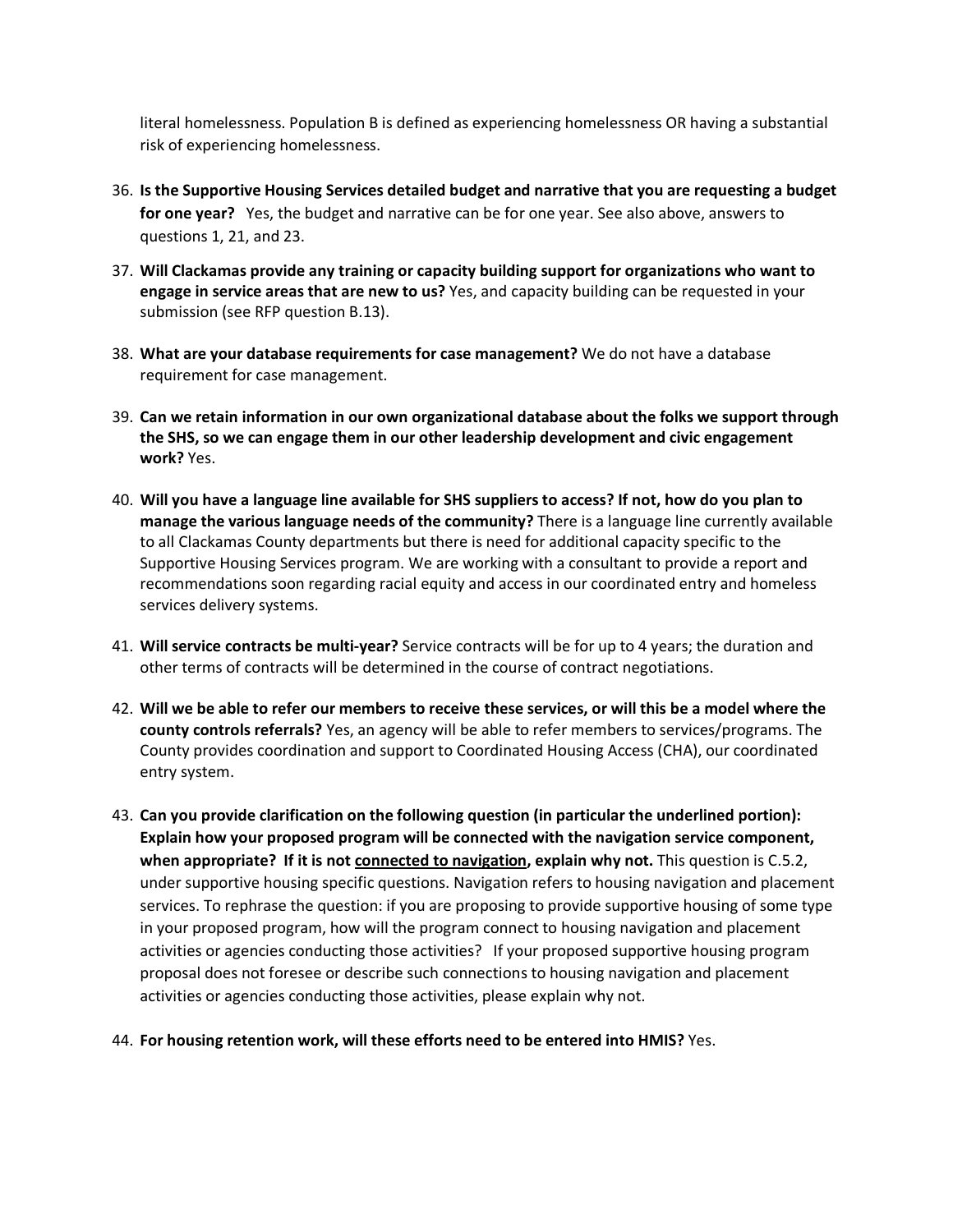literal homelessness. Population B is defined as experiencing homelessness OR having a substantial risk of experiencing homelessness.

- 36. **Is the Supportive Housing Services detailed budget and narrative that you are requesting a budget for one year?** Yes, the budget and narrative can be for one year. See also above, answers to questions 1, 21, and 23.
- 37. **Will Clackamas provide any training or capacity building support for organizations who want to engage in service areas that are new to us?** Yes, and capacity building can be requested in your submission (see RFP question B.13).
- 38. **What are your database requirements for case management?** We do not have a database requirement for case management.
- 39. **Can we retain information in our own organizational database about the folks we support through the SHS, so we can engage them in our other leadership development and civic engagement work?** Yes.
- 40. **Will you have a language line available for SHS suppliers to access? If not, how do you plan to manage the various language needs of the community?** There is a language line currently available to all Clackamas County departments but there is need for additional capacity specific to the Supportive Housing Services program. We are working with a consultant to provide a report and recommendations soon regarding racial equity and access in our coordinated entry and homeless services delivery systems.
- 41. **Will service contracts be multi-year?** Service contracts will be for up to 4 years; the duration and other terms of contracts will be determined in the course of contract negotiations.
- 42. **Will we be able to refer our members to receive these services, or will this be a model where the county controls referrals?** Yes, an agency will be able to refer members to services/programs. The County provides coordination and support to Coordinated Housing Access (CHA), our coordinated entry system.
- 43. **Can you provide clarification on the following question (in particular the underlined portion): Explain how your proposed program will be connected with the navigation service component, when appropriate? If it is not connected to navigation, explain why not.** This question is C.5.2, under supportive housing specific questions. Navigation refers to housing navigation and placement services. To rephrase the question: if you are proposing to provide supportive housing of some type in your proposed program, how will the program connect to housing navigation and placement activities or agencies conducting those activities? If your proposed supportive housing program proposal does not foresee or describe such connections to housing navigation and placement activities or agencies conducting those activities, please explain why not.
- 44. **For housing retention work, will these efforts need to be entered into HMIS?** Yes.